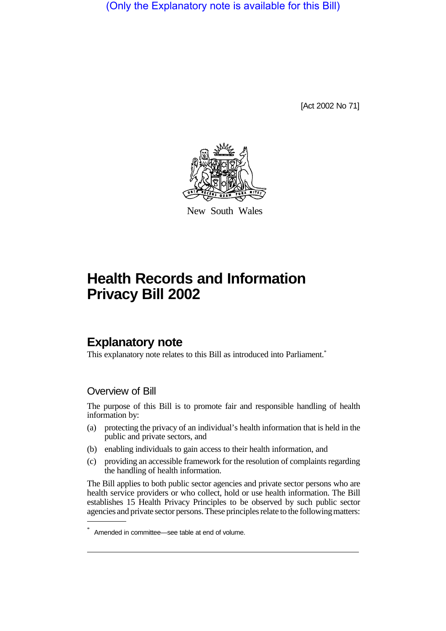(Only the Explanatory note is available for this Bill)

[Act 2002 No 71]



New South Wales

# **Health Records and Information Privacy Bill 2002**

# **Explanatory note**

This explanatory note relates to this Bill as introduced into Parliament.\*

### Overview of Bill

The purpose of this Bill is to promote fair and responsible handling of health information by:

- (a) protecting the privacy of an individual's health information that is held in the public and private sectors, and
- (b) enabling individuals to gain access to their health information, and
- (c) providing an accessible framework for the resolution of complaints regarding the handling of health information.

The Bill applies to both public sector agencies and private sector persons who are health service providers or who collect, hold or use health information. The Bill establishes 15 Health Privacy Principles to be observed by such public sector agencies and private sector persons. These principles relate to the following matters:

Amended in committee—see table at end of volume.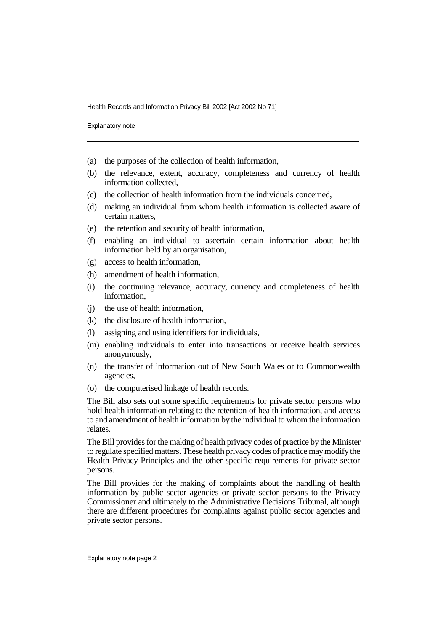Explanatory note

- (a) the purposes of the collection of health information,
- (b) the relevance, extent, accuracy, completeness and currency of health information collected,
- (c) the collection of health information from the individuals concerned,
- (d) making an individual from whom health information is collected aware of certain matters,
- (e) the retention and security of health information,
- (f) enabling an individual to ascertain certain information about health information held by an organisation,
- (g) access to health information,
- (h) amendment of health information,
- (i) the continuing relevance, accuracy, currency and completeness of health information,
- (j) the use of health information,
- (k) the disclosure of health information,
- (l) assigning and using identifiers for individuals,
- (m) enabling individuals to enter into transactions or receive health services anonymously,
- (n) the transfer of information out of New South Wales or to Commonwealth agencies,
- (o) the computerised linkage of health records.

The Bill also sets out some specific requirements for private sector persons who hold health information relating to the retention of health information, and access to and amendment of health information by the individual to whom the information relates.

The Bill provides for the making of health privacy codes of practice by the Minister to regulate specified matters. These health privacy codes of practice may modify the Health Privacy Principles and the other specific requirements for private sector persons.

The Bill provides for the making of complaints about the handling of health information by public sector agencies or private sector persons to the Privacy Commissioner and ultimately to the Administrative Decisions Tribunal, although there are different procedures for complaints against public sector agencies and private sector persons.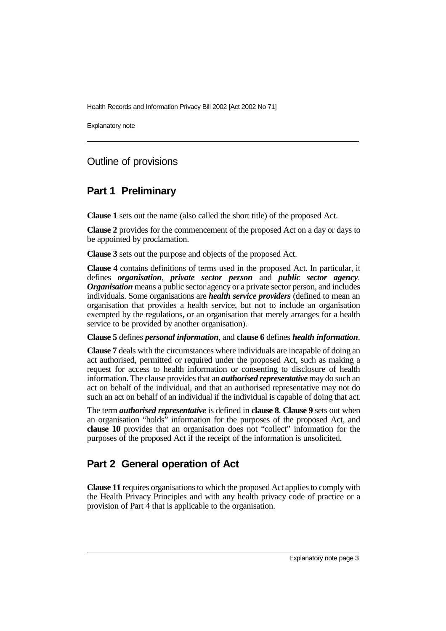Explanatory note

### Outline of provisions

### **Part 1 Preliminary**

**Clause 1** sets out the name (also called the short title) of the proposed Act.

**Clause 2** provides for the commencement of the proposed Act on a day or days to be appointed by proclamation.

**Clause 3** sets out the purpose and objects of the proposed Act.

**Clause 4** contains definitions of terms used in the proposed Act. In particular, it defines *organisation*, *private sector person* and *public sector agency*. *Organisation* means a public sector agency or a private sector person, and includes individuals. Some organisations are *health service providers* (defined to mean an organisation that provides a health service, but not to include an organisation exempted by the regulations, or an organisation that merely arranges for a health service to be provided by another organisation).

#### **Clause 5** defines *personal information*, and **clause 6** defines *health information*.

**Clause 7** deals with the circumstances where individuals are incapable of doing an act authorised, permitted or required under the proposed Act, such as making a request for access to health information or consenting to disclosure of health information. The clause provides that an *authorised representative* may do such an act on behalf of the individual, and that an authorised representative may not do such an act on behalf of an individual if the individual is capable of doing that act.

The term *authorised representative* is defined in **clause 8**. **Clause 9** sets out when an organisation "holds" information for the purposes of the proposed Act, and **clause 10** provides that an organisation does not "collect" information for the purposes of the proposed Act if the receipt of the information is unsolicited.

# **Part 2 General operation of Act**

**Clause 11** requires organisations to which the proposed Act applies to comply with the Health Privacy Principles and with any health privacy code of practice or a provision of Part 4 that is applicable to the organisation.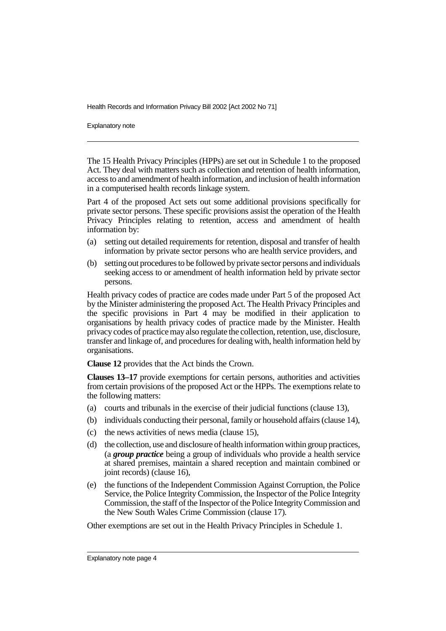Explanatory note

The 15 Health Privacy Principles (HPPs) are set out in Schedule 1 to the proposed Act. They deal with matters such as collection and retention of health information, access to and amendment of health information, and inclusion of health information in a computerised health records linkage system.

Part 4 of the proposed Act sets out some additional provisions specifically for private sector persons. These specific provisions assist the operation of the Health Privacy Principles relating to retention, access and amendment of health information by:

- (a) setting out detailed requirements for retention, disposal and transfer of health information by private sector persons who are health service providers, and
- (b) setting out procedures to be followed by private sector persons and individuals seeking access to or amendment of health information held by private sector persons.

Health privacy codes of practice are codes made under Part 5 of the proposed Act by the Minister administering the proposed Act. The Health Privacy Principles and the specific provisions in Part 4 may be modified in their application to organisations by health privacy codes of practice made by the Minister. Health privacy codes of practice may also regulate the collection, retention, use, disclosure, transfer and linkage of, and procedures for dealing with, health information held by organisations.

**Clause 12** provides that the Act binds the Crown.

**Clauses 13–17** provide exemptions for certain persons, authorities and activities from certain provisions of the proposed Act or the HPPs. The exemptions relate to the following matters:

- (a) courts and tribunals in the exercise of their judicial functions (clause 13),
- (b) individuals conducting their personal, family or household affairs (clause 14),
- (c) the news activities of news media (clause 15),
- (d) the collection, use and disclosure of health information within group practices, (a *group practice* being a group of individuals who provide a health service at shared premises, maintain a shared reception and maintain combined or joint records) (clause 16),
- (e) the functions of the Independent Commission Against Corruption, the Police Service, the Police Integrity Commission, the Inspector of the Police Integrity Commission, the staff of the Inspector of the Police Integrity Commission and the New South Wales Crime Commission (clause 17).

Other exemptions are set out in the Health Privacy Principles in Schedule 1.

Explanatory note page 4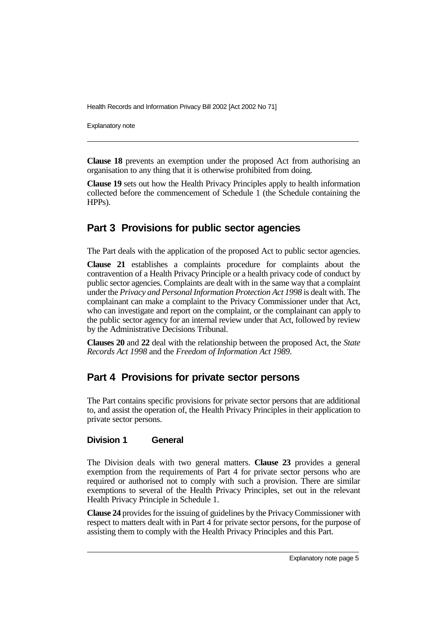Explanatory note

**Clause 18** prevents an exemption under the proposed Act from authorising an organisation to any thing that it is otherwise prohibited from doing.

**Clause 19** sets out how the Health Privacy Principles apply to health information collected before the commencement of Schedule 1 (the Schedule containing the HPPs).

### **Part 3 Provisions for public sector agencies**

The Part deals with the application of the proposed Act to public sector agencies.

**Clause 21** establishes a complaints procedure for complaints about the contravention of a Health Privacy Principle or a health privacy code of conduct by public sector agencies. Complaints are dealt with in the same way that a complaint under the *Privacy and Personal Information Protection Act 1998* is dealt with. The complainant can make a complaint to the Privacy Commissioner under that Act, who can investigate and report on the complaint, or the complainant can apply to the public sector agency for an internal review under that Act, followed by review by the Administrative Decisions Tribunal.

**Clauses 20** and **22** deal with the relationship between the proposed Act, the *State Records Act 1998* and the *Freedom of Information Act 1989*.

# **Part 4 Provisions for private sector persons**

The Part contains specific provisions for private sector persons that are additional to, and assist the operation of, the Health Privacy Principles in their application to private sector persons.

#### **Division 1 General**

The Division deals with two general matters. **Clause 23** provides a general exemption from the requirements of Part 4 for private sector persons who are required or authorised not to comply with such a provision. There are similar exemptions to several of the Health Privacy Principles, set out in the relevant Health Privacy Principle in Schedule 1.

**Clause 24** provides for the issuing of guidelines by the Privacy Commissioner with respect to matters dealt with in Part 4 for private sector persons, for the purpose of assisting them to comply with the Health Privacy Principles and this Part.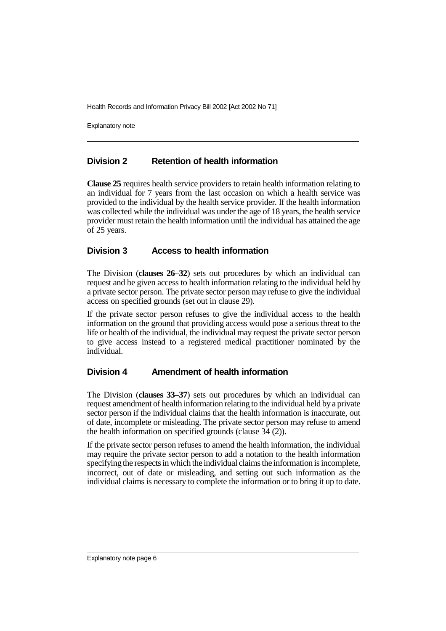Explanatory note

#### **Division 2 Retention of health information**

**Clause 25** requires health service providers to retain health information relating to an individual for 7 years from the last occasion on which a health service was provided to the individual by the health service provider. If the health information was collected while the individual was under the age of 18 years, the health service provider must retain the health information until the individual has attained the age of 25 years.

#### **Division 3 Access to health information**

The Division (**clauses 26–32**) sets out procedures by which an individual can request and be given access to health information relating to the individual held by a private sector person. The private sector person may refuse to give the individual access on specified grounds (set out in clause 29).

If the private sector person refuses to give the individual access to the health information on the ground that providing access would pose a serious threat to the life or health of the individual, the individual may request the private sector person to give access instead to a registered medical practitioner nominated by the individual.

#### **Division 4 Amendment of health information**

The Division (**clauses 33–37**) sets out procedures by which an individual can request amendment of health information relating to the individual held by a private sector person if the individual claims that the health information is inaccurate, out of date, incomplete or misleading. The private sector person may refuse to amend the health information on specified grounds (clause  $3\overline{4}$  (2)).

If the private sector person refuses to amend the health information, the individual may require the private sector person to add a notation to the health information specifying the respects in which the individual claims the information is incomplete, incorrect, out of date or misleading, and setting out such information as the individual claims is necessary to complete the information or to bring it up to date.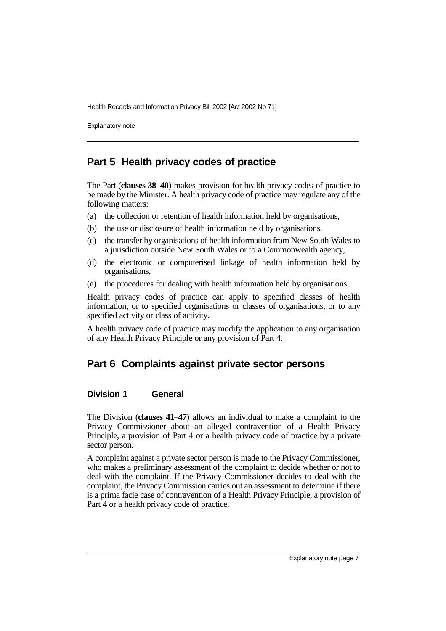Explanatory note

### **Part 5 Health privacy codes of practice**

The Part (**clauses 38–40**) makes provision for health privacy codes of practice to be made by the Minister. A health privacy code of practice may regulate any of the following matters:

- (a) the collection or retention of health information held by organisations,
- (b) the use or disclosure of health information held by organisations,
- (c) the transfer by organisations of health information from New South Wales to a jurisdiction outside New South Wales or to a Commonwealth agency,
- (d) the electronic or computerised linkage of health information held by organisations,
- (e) the procedures for dealing with health information held by organisations.

Health privacy codes of practice can apply to specified classes of health information, or to specified organisations or classes of organisations, or to any specified activity or class of activity.

A health privacy code of practice may modify the application to any organisation of any Health Privacy Principle or any provision of Part 4.

# **Part 6 Complaints against private sector persons**

#### **Division 1 General**

The Division (**clauses 41–47**) allows an individual to make a complaint to the Privacy Commissioner about an alleged contravention of a Health Privacy Principle, a provision of Part 4 or a health privacy code of practice by a private sector person.

A complaint against a private sector person is made to the Privacy Commissioner, who makes a preliminary assessment of the complaint to decide whether or not to deal with the complaint. If the Privacy Commissioner decides to deal with the complaint, the Privacy Commission carries out an assessment to determine if there is a prima facie case of contravention of a Health Privacy Principle, a provision of Part 4 or a health privacy code of practice.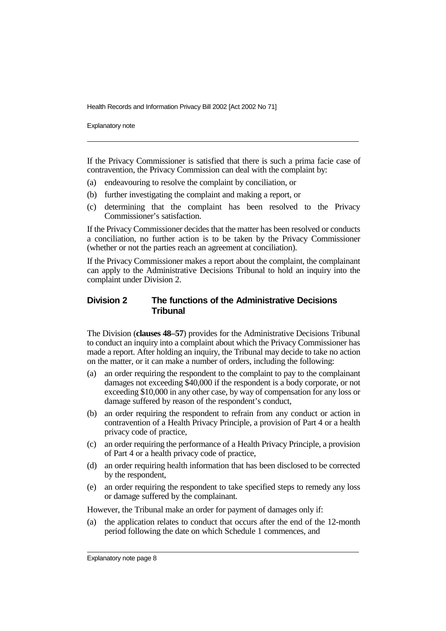Explanatory note

If the Privacy Commissioner is satisfied that there is such a prima facie case of contravention, the Privacy Commission can deal with the complaint by:

- (a) endeavouring to resolve the complaint by conciliation, or
- (b) further investigating the complaint and making a report, or
- (c) determining that the complaint has been resolved to the Privacy Commissioner's satisfaction.

If the Privacy Commissioner decides that the matter has been resolved or conducts a conciliation, no further action is to be taken by the Privacy Commissioner (whether or not the parties reach an agreement at conciliation).

If the Privacy Commissioner makes a report about the complaint, the complainant can apply to the Administrative Decisions Tribunal to hold an inquiry into the complaint under Division 2.

#### **Division 2 The functions of the Administrative Decisions Tribunal**

The Division (**clauses 48–57**) provides for the Administrative Decisions Tribunal to conduct an inquiry into a complaint about which the Privacy Commissioner has made a report. After holding an inquiry, the Tribunal may decide to take no action on the matter, or it can make a number of orders, including the following:

- (a) an order requiring the respondent to the complaint to pay to the complainant damages not exceeding \$40,000 if the respondent is a body corporate, or not exceeding \$10,000 in any other case, by way of compensation for any loss or damage suffered by reason of the respondent's conduct,
- (b) an order requiring the respondent to refrain from any conduct or action in contravention of a Health Privacy Principle, a provision of Part 4 or a health privacy code of practice,
- (c) an order requiring the performance of a Health Privacy Principle, a provision of Part 4 or a health privacy code of practice,
- (d) an order requiring health information that has been disclosed to be corrected by the respondent,
- (e) an order requiring the respondent to take specified steps to remedy any loss or damage suffered by the complainant.

However, the Tribunal make an order for payment of damages only if:

(a) the application relates to conduct that occurs after the end of the 12-month period following the date on which Schedule 1 commences, and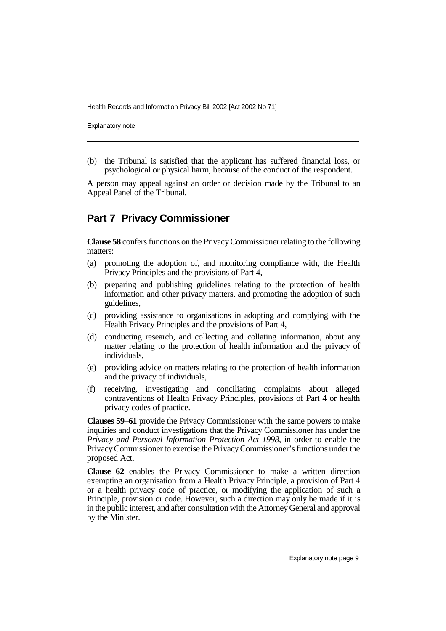Explanatory note

(b) the Tribunal is satisfied that the applicant has suffered financial loss, or psychological or physical harm, because of the conduct of the respondent.

A person may appeal against an order or decision made by the Tribunal to an Appeal Panel of the Tribunal.

### **Part 7 Privacy Commissioner**

**Clause 58** confers functions on the Privacy Commissioner relating to the following matters:

- (a) promoting the adoption of, and monitoring compliance with, the Health Privacy Principles and the provisions of Part 4,
- (b) preparing and publishing guidelines relating to the protection of health information and other privacy matters, and promoting the adoption of such guidelines,
- (c) providing assistance to organisations in adopting and complying with the Health Privacy Principles and the provisions of Part 4,
- (d) conducting research, and collecting and collating information, about any matter relating to the protection of health information and the privacy of individuals,
- (e) providing advice on matters relating to the protection of health information and the privacy of individuals,
- (f) receiving, investigating and conciliating complaints about alleged contraventions of Health Privacy Principles, provisions of Part 4 or health privacy codes of practice.

**Clauses 59–61** provide the Privacy Commissioner with the same powers to make inquiries and conduct investigations that the Privacy Commissioner has under the *Privacy and Personal Information Protection Act 1998*, in order to enable the Privacy Commissioner to exercise the Privacy Commissioner's functions under the proposed Act.

**Clause 62** enables the Privacy Commissioner to make a written direction exempting an organisation from a Health Privacy Principle, a provision of Part 4 or a health privacy code of practice, or modifying the application of such a Principle, provision or code. However, such a direction may only be made if it is in the public interest, and after consultation with the Attorney General and approval by the Minister.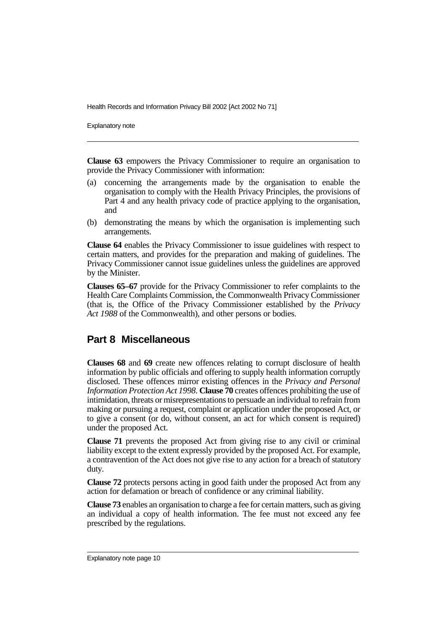Explanatory note

**Clause 63** empowers the Privacy Commissioner to require an organisation to provide the Privacy Commissioner with information:

- (a) concerning the arrangements made by the organisation to enable the organisation to comply with the Health Privacy Principles, the provisions of Part 4 and any health privacy code of practice applying to the organisation, and
- (b) demonstrating the means by which the organisation is implementing such arrangements.

**Clause 64** enables the Privacy Commissioner to issue guidelines with respect to certain matters, and provides for the preparation and making of guidelines. The Privacy Commissioner cannot issue guidelines unless the guidelines are approved by the Minister.

**Clauses 65–67** provide for the Privacy Commissioner to refer complaints to the Health Care Complaints Commission, the Commonwealth Privacy Commissioner (that is, the Office of the Privacy Commissioner established by the *Privacy Act 1988* of the Commonwealth), and other persons or bodies.

### **Part 8 Miscellaneous**

**Clauses 68** and **69** create new offences relating to corrupt disclosure of health information by public officials and offering to supply health information corruptly disclosed. These offences mirror existing offences in the *Privacy and Personal Information Protection Act 1998*. **Clause 70** creates offences prohibiting the use of intimidation, threats or misrepresentations to persuade an individual to refrain from making or pursuing a request, complaint or application under the proposed Act, or to give a consent (or do, without consent, an act for which consent is required) under the proposed Act.

**Clause 71** prevents the proposed Act from giving rise to any civil or criminal liability except to the extent expressly provided by the proposed Act. For example, a contravention of the Act does not give rise to any action for a breach of statutory duty.

**Clause 72** protects persons acting in good faith under the proposed Act from any action for defamation or breach of confidence or any criminal liability.

**Clause 73** enables an organisation to charge a fee for certain matters, such as giving an individual a copy of health information. The fee must not exceed any fee prescribed by the regulations.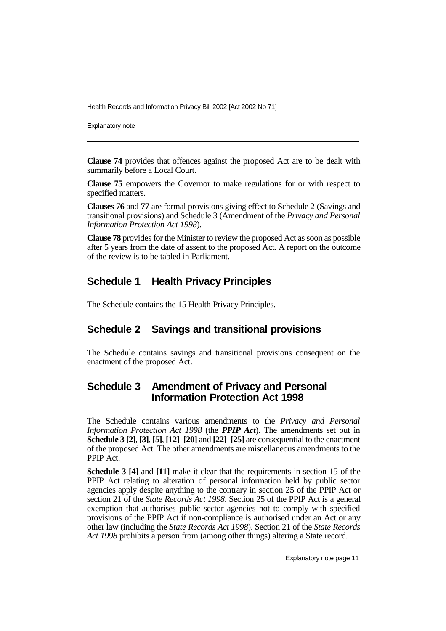Explanatory note

**Clause 74** provides that offences against the proposed Act are to be dealt with summarily before a Local Court.

**Clause 75** empowers the Governor to make regulations for or with respect to specified matters.

**Clauses 76** and **77** are formal provisions giving effect to Schedule 2 (Savings and transitional provisions) and Schedule 3 (Amendment of the *Privacy and Personal Information Protection Act 1998*).

**Clause 78** provides for the Minister to review the proposed Act as soon as possible after 5 years from the date of assent to the proposed Act. A report on the outcome of the review is to be tabled in Parliament.

# **Schedule 1 Health Privacy Principles**

The Schedule contains the 15 Health Privacy Principles.

# **Schedule 2 Savings and transitional provisions**

The Schedule contains savings and transitional provisions consequent on the enactment of the proposed Act.

# **Schedule 3 Amendment of Privacy and Personal Information Protection Act 1998**

The Schedule contains various amendments to the *Privacy and Personal Information Protection Act 1998* (the *PPIP Act*). The amendments set out in **Schedule 3 [2]**, **[3]**, **[5]**, **[12]**–**[20]** and **[22]**–**[25]** are consequential to the enactment of the proposed Act. The other amendments are miscellaneous amendments to the PPIP Act.

**Schedule 3 [4]** and **[11]** make it clear that the requirements in section 15 of the PPIP Act relating to alteration of personal information held by public sector agencies apply despite anything to the contrary in section 25 of the PPIP Act or section 21 of the *State Records Act 1998*. Section 25 of the PPIP Act is a general exemption that authorises public sector agencies not to comply with specified provisions of the PPIP Act if non-compliance is authorised under an Act or any other law (including the *State Records Act 1998*). Section 21 of the *State Records Act 1998* prohibits a person from (among other things) altering a State record.